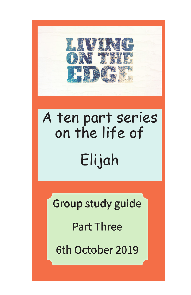

# A ten part series on the life of Elijah

Group study guide

Part Three

6th October 2019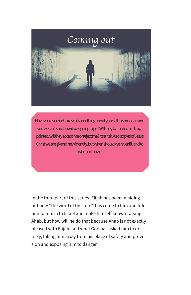

Have you ever had to reveal something about yourself to someone and you weren't sure how it was going to go? Will they be thrilled or disappointed, will they accept me or reject me? It's a risk. As disciples of Jesus Christ we are given a new identity, but when should we reveal it, and to who and how?

In the third part of this series, Elijah has been in hiding but now "the word of the Lord" has come to him and told him to return to Israel and make himself known to King Ahab, but how will he do that because Ahab is not exactly pleased with Elijah, and what God has asked him to do is risky, taking him away from his place of safety and provision and exposing him to danger.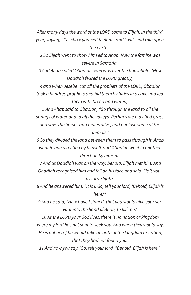*After many days the word of the LORD came to Elijah, in the third year, saying, "Go, show yourself to Ahab, and I will send rain upon the earth."*

 *2 So Elijah went to show himself to Ahab. Now the famine was severe in Samaria.*

 *3 And Ahab called Obadiah, who was over the household. (Now Obadiah feared the LORD greatly,*

 *4 and when Jezebel cut off the prophets of the LORD, Obadiah took a hundred prophets and hid them by fifties in a cave and fed them with bread and water.)*

 *5 And Ahab said to Obadiah, "Go through the land to all the springs of water and to all the valleys. Perhaps we may find grass and save the horses and mules alive, and not lose some of the animals."*

 *6 So they divided the land between them to pass through it. Ahab went in one direction by himself, and Obadiah went in another direction by himself.*

 *7 And as Obadiah was on the way, behold, Elijah met him. And Obadiah recognised him and fell on his face and said, "Is it you, my lord Elijah?"*

 *8 And he answered him, "It is I. Go, tell your lord, 'Behold, Elijah is here.'"*

 *9 And he said, "How have I sinned, that you would give your servant into the hand of Ahab, to kill me?*

 *10 As the LORD your God lives, there is no nation or kingdom where my lord has not sent to seek you. And when they would say, 'He is not here,' he would take an oath of the kingdom or nation, that they had not found you.*

 *11 And now you say, 'Go, tell your lord, "Behold, Elijah is here."'*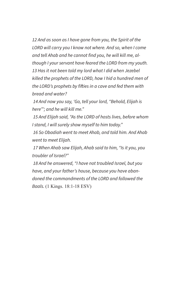*12 And as soon as I have gone from you, the Spirit of the LORD will carry you I know not where. And so, when I come and tell Ahab and he cannot find you, he will kill me, although I your servant have feared the LORD from my youth. 13 Has it not been told my lord what I did when Jezebel killed the prophets of the LORD, how I hid a hundred men of the LORD's prophets by fifties in a cave and fed them with bread and water?*

 *14 And now you say, 'Go, tell your lord, "Behold, Elijah is here"'; and he will kill me."*

 *15 And Elijah said, "As the LORD of hosts lives, before whom I stand, I will surely show myself to him today."*

 *16 So Obadiah went to meet Ahab, and told him. And Ahab went to meet Elijah.*

 *17 When Ahab saw Elijah, Ahab said to him, "Is it you, you troubler of Israel?"*

 *18 And he answered, "I have not troubled Israel, but you have, and your father's house, because you have abandoned the commandments of the LORD and followed the Baals.* (1 Kings. 18:1-18 ESV)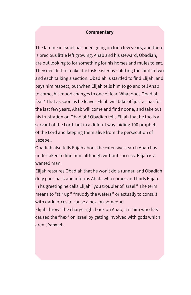#### **Commentary**

The famine in Israel has been going on for a few years, and there is precious little left growing. Ahab and his steward, Obadiah, are out looking to for something for his horses and mules to eat. They decided to make the task easier by splitting the land in two and each talking a section. Obadiah is startled to find Elijah, and pays him respect, but when Elijah tells him to go and tell Ahab to come, his mood changes to one of fear. What does Obadiah fear? That as soon as he leaves Elijah will take off just as has for the last few years, Ahab will come and find noone, and take out his frustration on Obadiah! Obadiah tells Elijah that he too is a servant of the Lord, but in a differnt way, hiding 100 prophets of the Lord and keeping them alive from the persecution of Jezebel.

Obadiah also tells Elijah about the extensive search Ahab has undertaken to find him, although without success. Elijah is a wanted man!

Elijah reasures Obadiah that he won't do a runner, and Obadiah duly goes back and informs Ahab, who comes and finds Elijah. In hs greeting he calls Elijah "you troubler of Israel." The term means to "stir up," "muddy the waters," or actually to consult with dark forces to cause a hex on someone.

Elijah throws the charge right back on Ahab, it is him who has caused the "hex" on Israel by getting involved with gods which aren't Yahweh.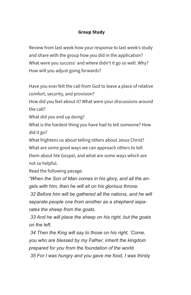## **Group Study**

Review from last week how your response to last week's study and share with the group how you did in the application? What were you success' and where didn't it go so well. Why? How will you adjust going forwards?

Have you ever felt the call from God to leave a place of relative comfort, security, and provision?

How did you feel about it? What were your discussions around the call?

What did you end up doing?

What is the hardest thing you have had to tell someone? How did it go?

What frightens us about telling others about Jesus Christ? What are some good ways we can approach others to tell them about hte Gospel, and what are some ways which are not so helpful.

Read the following pasage:

*"When the Son of Man comes in his glory, and all the angels with him, then he will sit on his glorious throne.*

 *32 Before him will be gathered all the nations, and he will separate people one from another as a shepherd separates the sheep from the goats.*

 *33 And he will place the sheep on his right, but the goats on the left.*

 *34 Then the King will say to those on his right, 'Come, you who are blessed by my Father, inherit the kingdom prepared for you from the foundation of the world.*

 *35 For I was hungry and you gave me food, I was thirsty*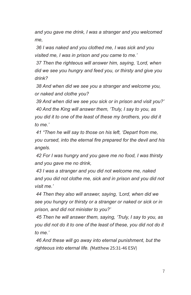*and you gave me drink, I was a stranger and you welcomed me,*

 *36 I was naked and you clothed me, I was sick and you visited me, I was in prison and you came to me.'*

 *37 Then the righteous will answer him, saying, 'Lord, when did we see you hungry and feed you, or thirsty and give you drink?*

 *38 And when did we see you a stranger and welcome you, or naked and clothe you?*

 *39 And when did we see you sick or in prison and visit you?' 40 And the King will answer them, 'Truly, I say to you, as you did it to one of the least of these my brothers, you did it to me.'*

 *41 "Then he will say to those on his left, 'Depart from me, you cursed, into the eternal fire prepared for the devil and his angels.*

 *42 For I was hungry and you gave me no food, I was thirsty and you gave me no drink,*

 *43 I was a stranger and you did not welcome me, naked and you did not clothe me, sick and in prison and you did not visit me.'*

 *44 Then they also will answer, saying, 'Lord, when did we see you hungry or thirsty or a stranger or naked or sick or in prison, and did not minister to you?'*

 *45 Then he will answer them, saying, 'Truly, I say to you, as you did not do it to one of the least of these, you did not do it to me.'*

 *46 And these will go away into eternal punishment, but the righteous into eternal life. (*Matthew 25:31-46 ESV)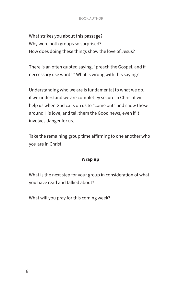#### BOOK AUTHOR

What strikes you about this passage? Why were both groups so surprised? How does doing these things show the love of Jesus?

There is an often quoted saying, "preach the Gospel, and if neccessary use words." What is wrong with this saying?

Understanding who we are is fundamental to what we do, if we understand we are completley secure in Christ it will help us when God calls on us to "come out" and show those around His love, and tell them the Good news, even if it involves danger for us.

Take the remaining group time affirming to one another who you are in Christ.

#### **Wrap up**

What is the next step for your group in consideration of what you have read and talked about?

What will you pray for this coming week?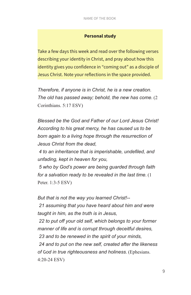#### **Personal study**

Take a few days this week and read over the following verses describing your identity in Christ, and pray about how this identity gives you confidence in "coming out" as a disciple of Jesus Christ. Note your reflections in the space provided.

*Therefore, if anyone is in Christ, he is a new creation. The old has passed away; behold, the new has come.* (2 Corinthians. 5:17 ESV)

*Blessed be the God and Father of our Lord Jesus Christ! According to his great mercy, he has caused us to be born again to a living hope through the resurrection of Jesus Christ from the dead,*

 *4 to an inheritance that is imperishable, undefiled, and unfading, kept in heaven for you,*

 *5 who by God's power are being guarded through faith for a salvation ready to be revealed in the last time.* (1 Peter. 1:3-5 ESV)

*But that is not the way you learned Christ!--*

 *21 assuming that you have heard about him and were taught in him, as the truth is in Jesus,*

 *22 to put off your old self, which belongs to your former manner of life and is corrupt through deceitful desires, 23 and to be renewed in the spirit of your minds, 24 and to put on the new self, created after the likeness of* G*od in true righteousness and holiness.* (Ephesians. 4:20-24 ESV)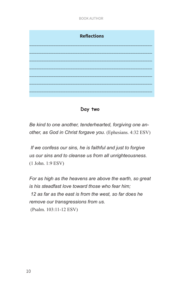



*Be kind to one another, tenderhearted, forgiving one another, as God in Christ forgave you.* (Ephesians. 4:32 ESV)

 *If we confess our sins, he is faithful and just to forgive us our sins and to cleanse us from all unrighteousness.*  (1 John. 1:9 ESV)

*For as high as the heavens are above the earth, so great is his steadfast love toward those who fear him; 12 as far as the east is from the west, so far does he remove our transgressions from us.* (Psalm. 103:11-12 ESV)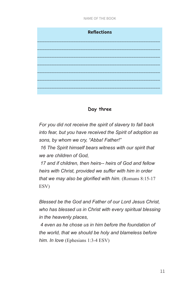# **Reflections** \_\_\_\_\_\_\_\_\_\_\_\_\_\_\_\_\_\_\_\_\_\_\_\_\_\_\_\_\_\_\_\_\_\_\_\_\_\_\_\_\_\_\_\_\_\_\_\_\_\_\_ \_\_\_\_\_\_\_\_\_\_\_\_\_\_\_\_\_\_\_\_\_\_\_\_\_\_\_\_\_\_\_\_\_\_\_\_\_\_\_\_\_\_\_\_\_\_\_\_\_\_\_ \_\_\_\_\_\_\_\_\_\_\_\_\_\_\_\_\_\_\_\_\_\_\_\_\_\_\_\_\_\_\_\_\_\_\_\_\_\_\_\_\_\_\_\_\_\_\_\_\_\_\_ \_\_\_\_\_\_\_\_\_\_\_\_\_\_\_\_\_\_\_\_\_\_\_\_\_\_\_\_\_\_\_\_\_\_\_\_\_\_\_\_\_\_\_\_\_\_\_\_\_\_\_ \_\_\_\_\_\_\_\_\_\_\_\_\_\_\_\_\_\_\_\_\_\_\_\_\_\_\_\_\_\_\_\_\_\_\_\_\_\_\_\_\_\_\_\_\_\_\_\_\_\_\_ \_\_\_\_\_\_\_\_\_\_\_\_\_\_\_\_\_\_\_\_\_\_\_\_\_\_\_\_\_\_\_\_\_\_\_\_\_\_\_\_\_\_\_\_\_\_\_\_\_\_\_ \_\_\_\_\_\_\_\_\_\_\_\_\_\_\_\_\_\_\_\_\_\_\_\_\_\_\_\_\_\_\_\_\_\_\_\_\_\_\_\_\_\_\_\_\_\_\_\_\_\_\_

## **Day three**

*For you did not receive the spirit of slavery to fall back into fear, but you have received the Spirit of adoption as sons, by whom we cry, "Abba! Father!"*

 *16 The Spirit himself bears witness with our spirit that we are children of God,*

 *17 and if children, then heirs-- heirs of God and fellow heirs with Christ, provided we suffer with him in order that we may also be glorified with him.* (Romans 8:15-17 ESV)

*Blessed be the God and Father of our Lord Jesus Christ, who has blessed us in Christ with every spiritual blessing in the heavenly places,*

 *4 even as he chose us in him before the foundation of the world, that we should be holy and blameless before him. In love* (Ephesians 1:3-4 ESV)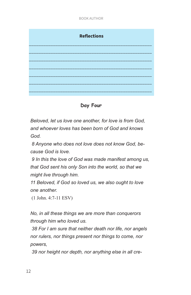

**Day Four**

*Beloved, let us love one another, for love is from God, and whoever loves has been born of God and knows God.*

 *8 Anyone who does not love does not know God, because God is love.*

 *9 In this the love of God was made manifest among us, that God sent his only Son into the world, so that we might live through him.*

*11 Beloved, if God so loved us, we also ought to love one another.*

(1 John. 4:7-11 ESV)

*No, in all these things we are more than conquerors through him who loved us.*

 *38 For I am sure that neither death nor life, nor angels nor rulers, nor things present nor things to come, nor powers,*

 *39 nor height nor depth, nor anything else in all cre-*